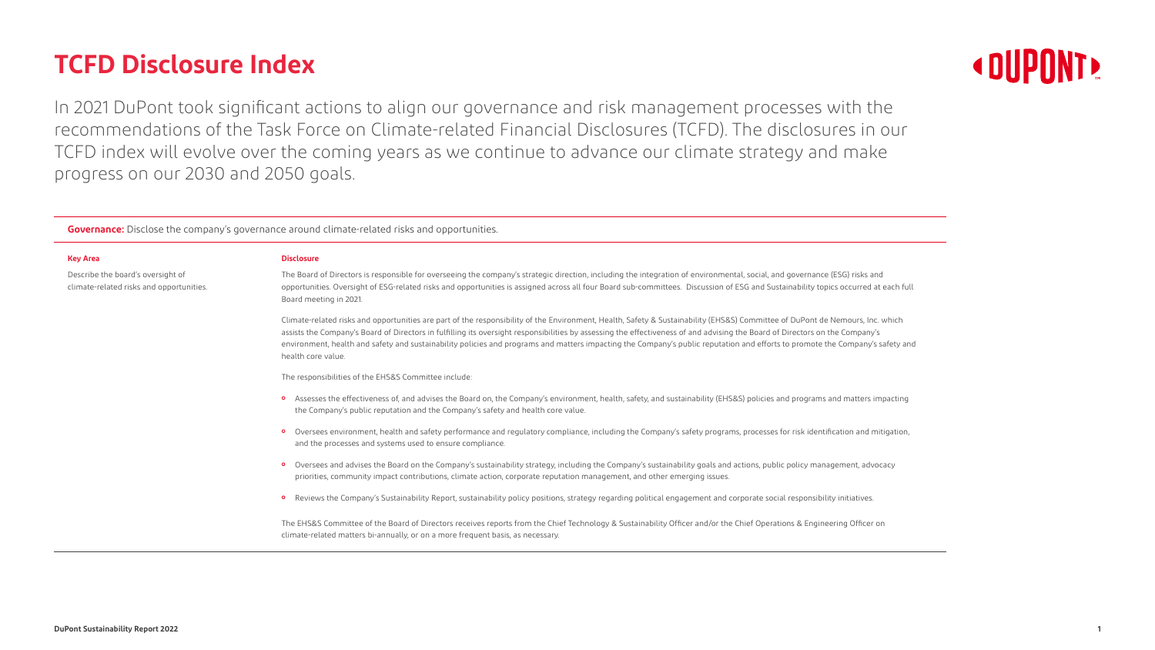

# **TCFD Disclosure Index**

In 2021 DuPont took significant actions to align our governance and risk management processes with the recommendations of the Task Force on Climate-related Financial Disclosures (TCFD). The disclosures in our TCFD index will evolve over the coming years as we continue to advance our climate strategy and make progress on our 2030 and 2050 goals.

**Governance:** Disclose the company's governance around climate-related risks and opportunities.

|   | ___ |
|---|-----|
| ٠ |     |

Describe the board's oversight of climate-related risks and opportunities.

#### **Disclosure**

- ɦ Assesses the effectiveness of, and advises the Board on, the Company's environment, health, safety, and sustainability (EHS&S) policies and programs and matters impacting the Company's public reputation and the Company's safety and health core value.
- o Oversees environment, health and safety performance and regulatory compliance, including the Company's safety programs, processes for risk identification and mitigation, and the processes and systems used to ensure compliance.
- o Oversees and advises the Board on the Company's sustainability strategy, including the Company's sustainability goals and actions, public policy management, advocacy priorities, community impact contributions, climate action, corporate reputation management, and other emerging issues.
- o Reviews the Company's Sustainability Report, sustainability policy positions, strategy regarding political engagement and corporate social responsibility initiatives.

The Board of Directors is responsible for overseeing the company's strategic direction, including the integration of environmental, social, and governance (ESG) risks and opportunities. Oversight of ESG-related risks and opportunities is assigned across all four Board sub-committees. Discussion of ESG and Sustainability topics occurred at each full Board meeting in 2021.

Climate-related risks and opportunities are part of the responsibility of the Environment, Health, Safety & Sustainability (EHS&S) Committee of DuPont de Nemours, Inc. which assists the Company's Board of Directors in fulfilling its oversight responsibilities by assessing the effectiveness of and advising the Board of Directors on the Company's environment, health and safety and sustainability policies and programs and matters impacting the Company's public reputation and efforts to promote the Company's safety and health core value.

The responsibilities of the EHS&S Committee include:

The EHS&S Committee of the Board of Directors receives reports from the Chief Technology & Sustainability Officer and/or the Chief Operations & Engineering Officer on climate-related matters bi-annually, or on a more frequent basis, as necessary.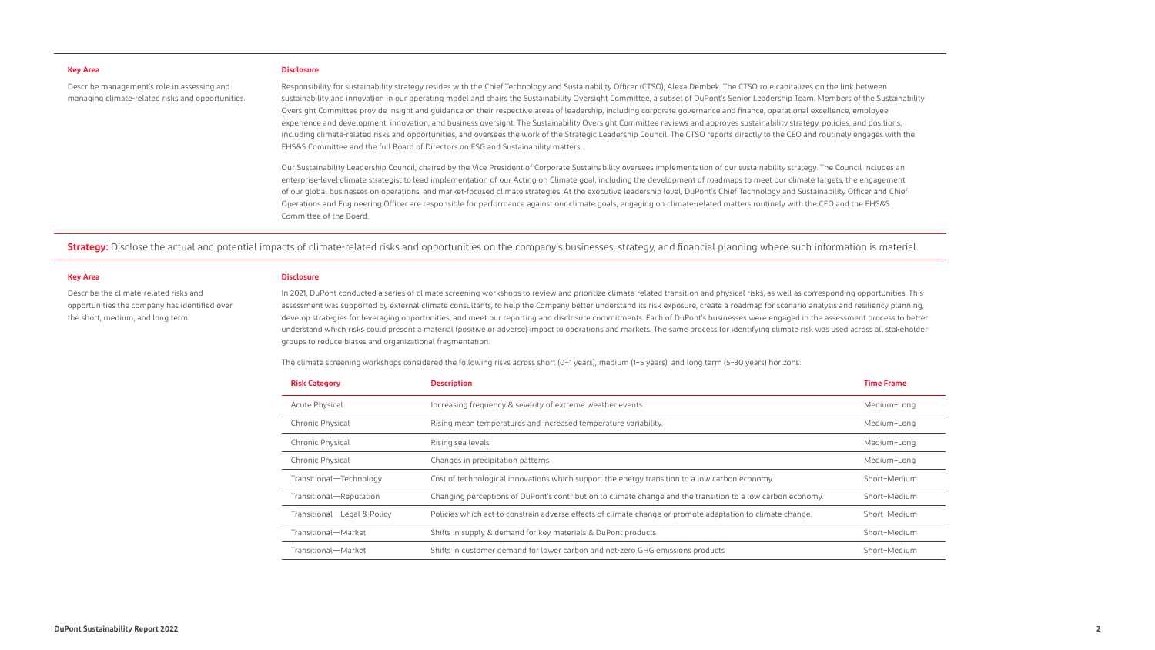- 
- 
- 
- 
- 
- 
- 

# Describe management's role in assessing and managing climate-related risks and opportunities.

**Key Area**

Describe the climate-related risks and opportunities the company has identified over the short, medium, and long term.

#### **Disclosure**

Responsibility for sustainability strategy resides with the Chief Technology and Sustainability Officer (CTSO), Alexa Dembek. The CTSO role capitalizes on the link between sustainability and innovation in our operating model and chairs the Sustainability Oversight Committee, a subset of DuPont's Senior Leadership Team. Members of the Sustainability Oversight Committee provide insight and guidance on their respective areas of leadership, including corporate governance and finance, operational excellence, employee experience and development, innovation, and business oversight. The Sustainability Oversight Committee reviews and approves sustainability strategy, policies, and positions, including climate-related risks and opportunities, and oversees the work of the Strategic Leadership Council. The CTSO reports directly to the CEO and routinely engages with the EHS&S Committee and the full Board of Directors on ESG and Sustainability matters.

Our Sustainability Leadership Council, chaired by the Vice President of Corporate Sustainability oversees implementation of our sustainability strategy. The Council includes an enterprise-level climate strategist to lead implementation of our Acting on Climate goal, including the development of roadmaps to meet our climate targets, the engagement of our global businesses on operations, and market-focused climate strategies. At the executive leadership level, DuPont's Chief Technology and Sustainability Officer and Chief Operations and Engineering Officer are responsible for performance against our climate goals, engaging on climate-related matters routinely with the CEO and the EHS&S Committee of the Board.

**Strategy:** Disclose the actual and potential impacts of climate-related risks and opportunities on the company's businesses, strategy, and financial planning where such information is material.

#### **Disclosure**

In 2021, DuPont conducted a series of climate screening workshops to review and prioritize climate-related transition and physical risks, as well as corresponding opportunities. This assessment was supported by external climate consultants, to help the Company better understand its risk exposure, create a roadmap for scenario analysis and resiliency planning, develop strategies for leveraging opportunities, and meet our reporting and disclosure commitments. Each of DuPont's businesses were engaged in the assessment process to better understand which risks could present a material (positive or adverse) impact to operations and markets. The same process for identifying climate risk was used across all stakeholder groups to reduce biases and organizational fragmentation.

The climate screening workshops considered the following risks across short (0–1 years), medium (1–5 years), and long term (5–30 years) horizons:

| <b>Risk Category</b>        | <b>Description</b>                                                                                          | <b>Time Frame</b> |
|-----------------------------|-------------------------------------------------------------------------------------------------------------|-------------------|
| Acute Physical              | Increasing frequency & severity of extreme weather events                                                   | Medium-Long       |
| Chronic Physical            | Rising mean temperatures and increased temperature variability.                                             | Medium-Long       |
| Chronic Physical            | Rising sea levels                                                                                           | Medium-Long       |
| Chronic Physical            | Changes in precipitation patterns                                                                           | Medium-Long       |
| Transitional-Technology     | Cost of technological innovations which support the energy transition to a low carbon economy.              | Short-Medium      |
| Transitional-Reputation     | Changing perceptions of DuPont's contribution to climate change and the transition to a low carbon economy. | Short-Medium      |
| Transitional—Legal & Policy | Policies which act to constrain adverse effects of climate change or promote adaptation to climate change.  | Short-Medium      |
| Transitional-Market         | Shifts in supply & demand for key materials & DuPont products                                               | Short-Medium      |
| Transitional-Market         | Shifts in customer demand for lower carbon and net-zero GHG emissions products                              | Short-Medium      |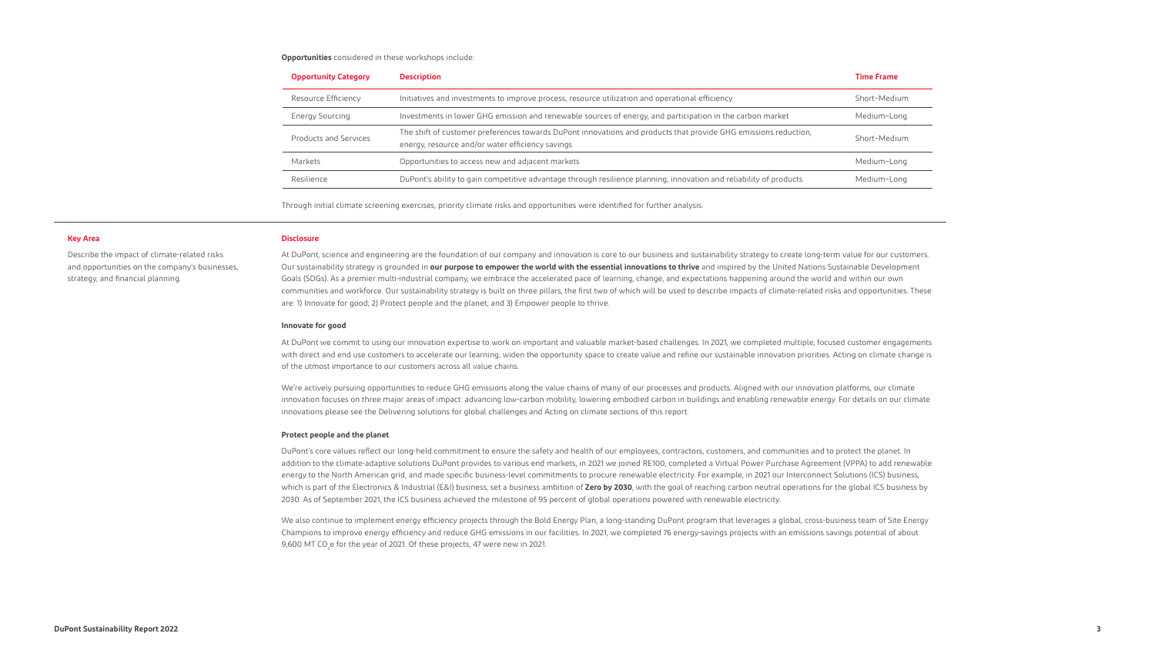Describe the impact of climate-related risks and opportunities on the company's businesses, strategy, and financial planning.

#### **Opportunities** considered in these workshops include:

Through initial climate screening exercises, priority climate risks and opportunities were identified for further analysis.

| <b>Opportunity Category</b> | <b>Description</b>                                                                                                                                                  | <b>Time Frame</b> |
|-----------------------------|---------------------------------------------------------------------------------------------------------------------------------------------------------------------|-------------------|
| Resource Efficiency         | Initiatives and investments to improve process, resource utilization and operational efficiency                                                                     | Short-Medium      |
| Energy Sourcing             | Investments in lower GHG emission and renewable sources of energy, and participation in the carbon market                                                           | Medium-Long       |
| Products and Services       | The shift of customer preferences towards DuPont innovations and products that provide GHG emissions reduction,<br>energy, resource and/or water efficiency savings | Short-Medium      |
| Markets                     | Opportunities to access new and adjacent markets                                                                                                                    | Medium-Long       |
| Resilience                  | DuPont's ability to gain competitive advantage through resilience planning, innovation and reliability of products                                                  | Medium-Long       |

#### **Disclosure**

We're actively pursuing opportunities to reduce GHG emissions along the value chains of many of our processes and products. Aligned with our innovation platforms, our climate innovation focuses on three major areas of impact: advancing low-carbon mobility, lowering embodied carbon in buildings and enabling renewable energy. For details on our climate innovations please see the Delivering solutions for global challenges and Acting on climate sections of this report.

At DuPont, science and engineering are the foundation of our company and innovation is core to our business and sustainability strategy to create long-term value for our customers. Our sustainability strategy is grounded in **our purpose to empower the world with the essential innovations to thrive** and inspired by the United Nations Sustainable Development Goals (SDGs). As a premier multi-industrial company, we embrace the accelerated pace of learning, change, and expectations happening around the world and within our own communities and workforce. Our sustainability strategy is built on three pillars, the first two of which will be used to describe impacts of climate-related risks and opportunities. These are: 1) Innovate for good; 2) Protect people and the planet; and 3) Empower people to thrive.

### **Innovate for good**

At DuPont we commit to using our innovation expertise to work on important and valuable market-based challenges. In 2021, we completed multiple, focused customer engagements with direct and end use customers to accelerate our learning, widen the opportunity space to create value and refine our sustainable innovation priorities. Acting on climate change is of the utmost importance to our customers across all value chains.

### **Protect people and the planet**

DuPont's core values reflect our long-held commitment to ensure the safety and health of our employees, contractors, customers, and communities and to protect the planet. In addition to the climate-adaptive solutions DuPont provides to various end markets, in 2021 we joined RE100, completed a Virtual Power Purchase Agreement (VPPA) to add renewable energy to the North American grid, and made specific business-level commitments to procure renewable electricity. For example, in 2021 our Interconnect Solutions (ICS) business, which is part of the Electronics & Industrial (E&I) business, set a business ambition of **Zero by 2030**, with the goal of reaching carbon neutral operations for the global ICS business by 2030. As of September 2021, the ICS business achieved the milestone of 95 percent of global operations powered with renewable electricity.

We also continue to implement energy efficiency projects through the Bold Energy Plan, a long-standing DuPont program that leverages a global, cross-business team of Site Energy Champions to improve energy efficiency and reduce GHG emissions in our facilities. In 2021, we completed 76 energy-savings projects with an emissions savings potential of about 9,600 MT CO<sub>2</sub>e for the year of 2021. Of these projects, 47 were new in 2021.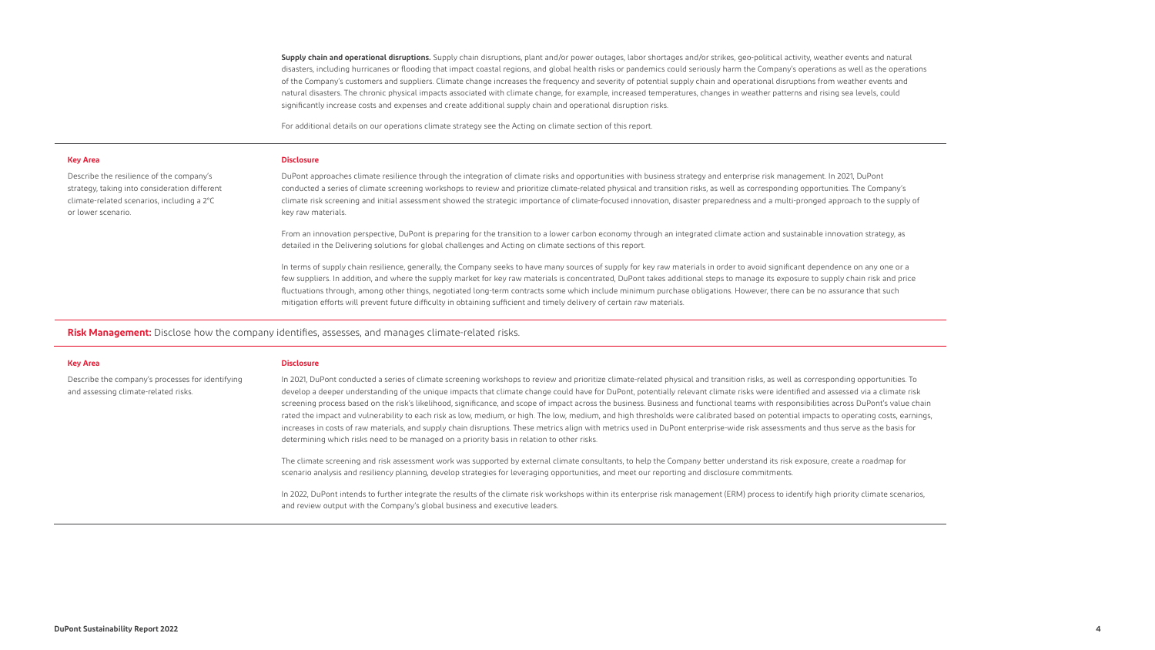**Supply chain and operational disruptions.** Supply chain disruptions, plant and/or power outages, labor shortages and/or strikes, geo-political activity, weather events and natural disasters, including hurricanes or flooding that impact coastal regions, and global health risks or pandemics could seriously harm the Company's operations as well as the operations of the Company's customers and suppliers. Climate change increases the frequency and severity of potential supply chain and operational disruptions from weather events and natural disasters. The chronic physical impacts associated with climate change, for example, increased temperatures, changes in weather patterns and rising sea levels, could significantly increase costs and expenses and create additional supply chain and operational disruption risks.

For additional details on our operations climate strategy see the Acting on climate section of this report.

**Risk Management:** Disclose how the company identifies, assesses, and manages climate-related risks.

#### **Key Area**

Describe the resilience of the company's strategy, taking into consideration different climate-related scenarios, including a 2°C or lower scenario.

#### **Key Area**

Describe the company's processes for identifying and assessing climate-related risks.

#### **Disclosure**

In terms of supply chain resilience, generally, the Company seeks to have many sources of supply for key raw materials in order to avoid significant dependence on any one or a few suppliers. In addition, and where the supply market for key raw materials is concentrated, DuPont takes additional steps to manage its exposure to supply chain risk and price fluctuations through, among other things, negotiated long-term contracts some which include minimum purchase obligations. However, there can be no assurance that such mitigation efforts will prevent future difficulty in obtaining sufficient and timely delivery of certain raw materials.

DuPont approaches climate resilience through the integration of climate risks and opportunities with business strategy and enterprise risk management. In 2021, DuPont conducted a series of climate screening workshops to review and prioritize climate-related physical and transition risks, as well as corresponding opportunities. The Company's climate risk screening and initial assessment showed the strategic importance of climate-focused innovation, disaster preparedness and a multi-pronged approach to the supply of key raw materials.

From an innovation perspective, DuPont is preparing for the transition to a lower carbon economy through an integrated climate action and sustainable innovation strategy, as detailed in the Delivering solutions for global challenges and Acting on climate sections of this report.

In 2022, DuPont intends to further integrate the results of the climate risk workshops within its enterprise risk management (ERM) process to identify high priority climate scenarios, and review output with the Company's global business and executive leaders.

#### **Disclosure**

In 2021, DuPont conducted a series of climate screening workshops to review and prioritize climate-related physical and transition risks, as well as corresponding opportunities. To develop a deeper understanding of the unique impacts that climate change could have for DuPont, potentially relevant climate risks were identified and assessed via a climate risk screening process based on the risk's likelihood, significance, and scope of impact across the business. Business and functional teams with responsibilities across DuPont's value chain rated the impact and vulnerability to each risk as low, medium, or high. The low, medium, and high thresholds were calibrated based on potential impacts to operating costs, earnings, increases in costs of raw materials, and supply chain disruptions. These metrics align with metrics used in DuPont enterprise-wide risk assessments and thus serve as the basis for determining which risks need to be managed on a priority basis in relation to other risks.

The climate screening and risk assessment work was supported by external climate consultants, to help the Company better understand its risk exposure, create a roadmap for scenario analysis and resiliency planning, develop strategies for leveraging opportunities, and meet our reporting and disclosure commitments.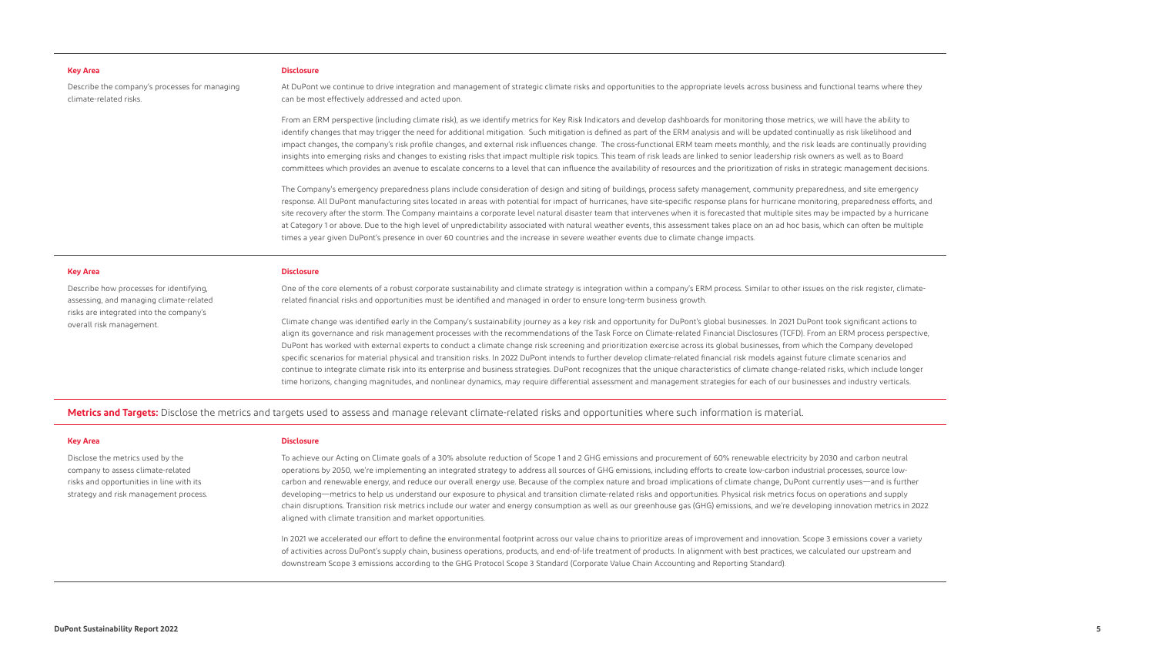**Metrics and Targets:** Disclose the metrics and targets used to assess and manage relevant climate-related risks and opportunities where such information is material.

#### **Key Area**

Describe the company's processes for managing climate-related risks.

### **Key Area**

Describe how processes for identifying, assessing, and managing climate-related risks are integrated into the company's overall risk management.

#### **Key Area**

Disclose the metrics used by the company to assess climate-related risks and opportunities in line with its strategy and risk management process.

#### **Disclosure**

At DuPont we continue to drive integration and management of strategic climate risks and opportunities to the appropriate levels across business and functional teams where they can be most effectively addressed and acted upon.

From an ERM perspective (including climate risk), as we identify metrics for Key Risk Indicators and develop dashboards for monitoring those metrics, we will have the ability to identify changes that may trigger the need for additional mitigation. Such mitigation is defined as part of the ERM analysis and will be updated continually as risk likelihood and impact changes, the company's risk profile changes, and external risk influences change. The cross-functional ERM team meets monthly, and the risk leads are continually providing insights into emerging risks and changes to existing risks that impact multiple risk topics. This team of risk leads are linked to senior leadership risk owners as well as to Board committees which provides an avenue to escalate concerns to a level that can influence the availability of resources and the prioritization of risks in strategic management decisions.

The Company's emergency preparedness plans include consideration of design and siting of buildings, process safety management, community preparedness, and site emergency response. All DuPont manufacturing sites located in areas with potential for impact of hurricanes, have site-specific response plans for hurricane monitoring, preparedness efforts, and site recovery after the storm. The Company maintains a corporate level natural disaster team that intervenes when it is forecasted that multiple sites may be impacted by a hurricane at Category 1 or above. Due to the high level of unpredictability associated with natural weather events, this assessment takes place on an ad hoc basis, which can often be multiple times a year given DuPont's presence in over 60 countries and the increase in severe weather events due to climate change impacts.

#### **Disclosure**

One of the core elements of a robust corporate sustainability and climate strategy is integration within a company's ERM process. Similar to other issues on the risk register, climaterelated financial risks and opportunities must be identified and managed in order to ensure long-term business growth.

Climate change was identified early in the Company's sustainability journey as a key risk and opportunity for DuPont's global businesses. In 2021 DuPont took significant actions to align its governance and risk management processes with the recommendations of the Task Force on Climate-related Financial Disclosures (TCFD). From an ERM process perspective, DuPont has worked with external experts to conduct a climate change risk screening and prioritization exercise across its global businesses, from which the Company developed specific scenarios for material physical and transition risks. In 2022 DuPont intends to further develop climate-related financial risk models against future climate scenarios and continue to integrate climate risk into its enterprise and business strategies. DuPont recognizes that the unique characteristics of climate change-related risks, which include longer time horizons, changing magnitudes, and nonlinear dynamics, may require differential assessment and management strategies for each of our businesses and industry verticals.

#### **Disclosure**

To achieve our Acting on Climate goals of a 30% absolute reduction of Scope 1 and 2 GHG emissions and procurement of 60% renewable electricity by 2030 and carbon neutral operations by 2050, we're implementing an integrated strategy to address all sources of GHG emissions, including efforts to create low-carbon industrial processes, source lowcarbon and renewable energy, and reduce our overall energy use. Because of the complex nature and broad implications of climate change, DuPont currently uses—and is further developing—metrics to help us understand our exposure to physical and transition climate-related risks and opportunities. Physical risk metrics focus on operations and supply chain disruptions. Transition risk metrics include our water and energy consumption as well as our greenhouse gas (GHG) emissions, and we're developing innovation metrics in 2022 aligned with climate transition and market opportunities.

In 2021 we accelerated our effort to define the environmental footprint across our value chains to prioritize areas of improvement and innovation. Scope 3 emissions cover a variety of activities across DuPont's supply chain, business operations, products, and end-of-life treatment of products. In alignment with best practices, we calculated our upstream and downstream Scope 3 emissions according to the GHG Protocol Scope 3 Standard (Corporate Value Chain Accounting and Reporting Standard).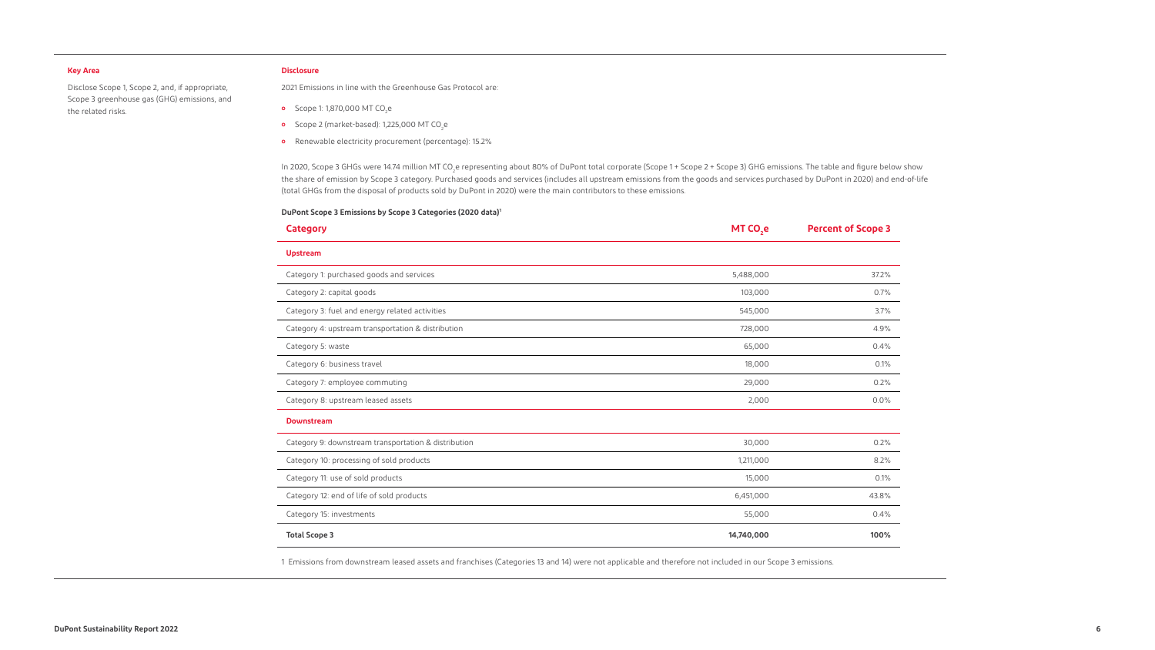Disclose Scope 1, Scope 2, and, if appropriate, Scope 3 greenhouse gas (GHG) emissions, and the related risks.

# **Disclosure**

- **o** Scope 1: 1,870,000 MT CO<sub>2</sub>e
- **o** Scope 2 (market-based): 1,225,000 MT CO<sub>2</sub>e
- ɦ Renewable electricity procurement (percentage): 15.2%

2021 Emissions in line with the Greenhouse Gas Protocol are:

In 2020, Scope 3 GHGs were 14.74 million MT CO<sub>2</sub>e representing about 80% of DuPont total corporate (Scope 1 + Scope 2 + Scope 3) GHG emissions. The table and figure below show the share of emission by Scope 3 category. Purchased goods and services (includes all upstream emissions from the goods and services purchased by DuPont in 2020) and end-of-life (total GHGs from the disposal of products sold by DuPont in 2020) were the main contributors to these emissions.

## **DuPont Scope 3 Emissions by Scope 3 Categories (2020 data)1**

1 Emissions from downstream leased assets and franchises (Categories 13 and 14) were not applicable and therefore not included in our Scope 3 emissions.

| <b>Category</b>                                      | MT CO <sub>,e</sub> | <b>Percent of Scope 3</b> |
|------------------------------------------------------|---------------------|---------------------------|
| <b>Upstream</b>                                      |                     |                           |
| Category 1: purchased goods and services             | 5,488,000           | 37.2%                     |
| Category 2: capital goods                            | 103,000             | 0.7%                      |
| Category 3: fuel and energy related activities       | 545,000             | 3.7%                      |
| Category 4: upstream transportation & distribution   | 728,000             | 4.9%                      |
| Category 5: waste                                    | 65,000              | 0.4%                      |
| Category 6: business travel                          | 18,000              | 0.1%                      |
| Category 7: employee commuting                       | 29,000              | 0.2%                      |
| Category 8: upstream leased assets                   | 2,000               | 0.0%                      |
| <b>Downstream</b>                                    |                     |                           |
| Category 9: downstream transportation & distribution | 30,000              | 0.2%                      |
| Category 10: processing of sold products             | 1,211,000           | 8.2%                      |
| Category 11: use of sold products                    | 15,000              | 0.1%                      |
| Category 12: end of life of sold products            | 6,451,000           | 43.8%                     |
| Category 15: investments                             | 55,000              | 0.4%                      |
| <b>Total Scope 3</b>                                 | 14,740,000          | 100%                      |